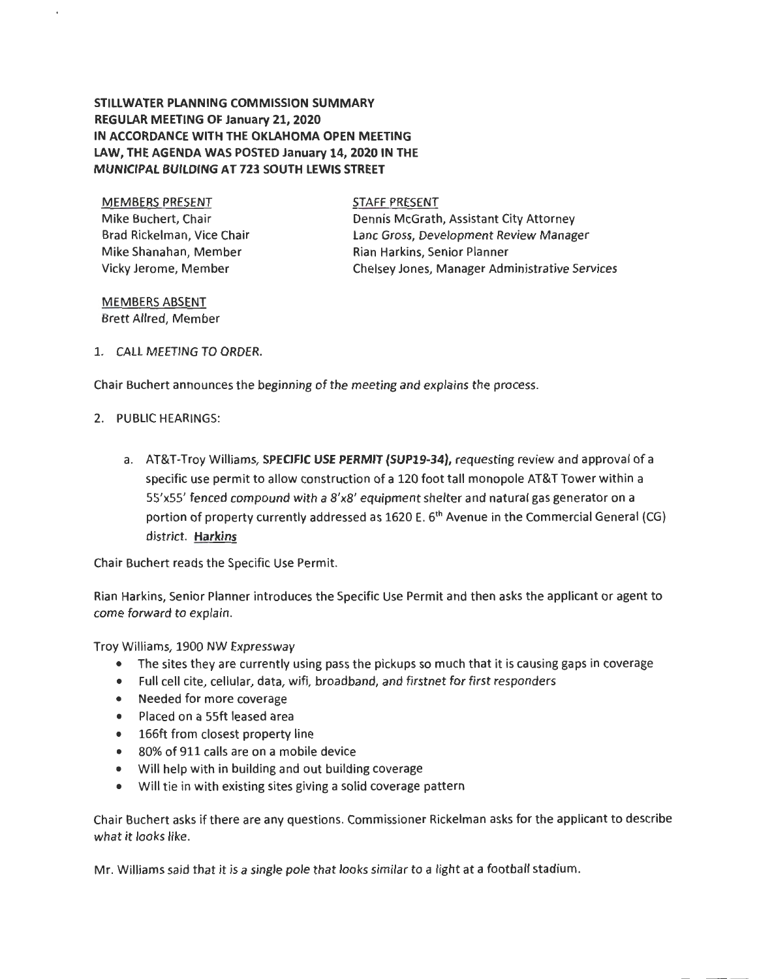## **STILLWATER PLANNING COMMISSION SUMMARY REGULAR MEETING OF January 21, 2020 IN ACCORDANCE WITH THE OKLAHOMA OPEN MEETING LAW, THE AGENDA WAS POSTED January 14, 2020 IN THE MUNICIPAL BUILDING AT 723 SOUTH LEWIS STREET**

MEMBERS PRESENT Mike Buchert, Chair Brad Rickelman, Vice Chair Mike Shanahan, Member Vicky Jerome, Member

STAFF PRESENT Dennis McGrath, Assistant City Attorney Lane Gross, Development Review Manager Rian Harkins, Senior Planner Chelsey Jones, Manager Administrative Services

## MEMBERS ABSENT Brett Allred, Member

1. CALL MEETING TO ORDER.

Chair Buchert announces the beginning of the meeting and explains the process.

- 2. PUBLIC HEARINGS:
	- a. AT&T-Troy Williams, **SPECIFIC USE PERMIT (SUP19-34),** requesting review and approval of a specific use permit to allow construction of a 120 foot tall monopole AT&T Tower within a SS'xSS' fenced compound with a 8'x8' equipment shelter and natural gas generator on a portion of property currently addressed as 1620 E. 6<sup>th</sup> Avenue in the Commercial General (CG) district. **Harkins**

Chair Buchert reads the Specific Use Permit.

Rian Harkins, Senior Planner introduces the Specific Use Permit and then asks the applicant or agent to come forward to explain.

Troy Williams, 1900 NW Expressway

- The sites they are currently using pass the pickups so much that it is causing gaps in coverage
- Full cell cite, cellular, data, wifi, broadband, and firstnet for first responders
- Needed for more coverage
- Placed on a SSft leased area
- 166ft from closest property line
- 80% of 911 calls are on a mobile device
- Will help with in building and out building coverage
- Will tie in with existing sites giving a solid coverage pattern

Chair Buchert asks if there are any questions. Commissioner Rickelman asks for the applicant to describe what it looks like.

Mr. Williams said that it is a single pole that looks similar to a light at a football stadium.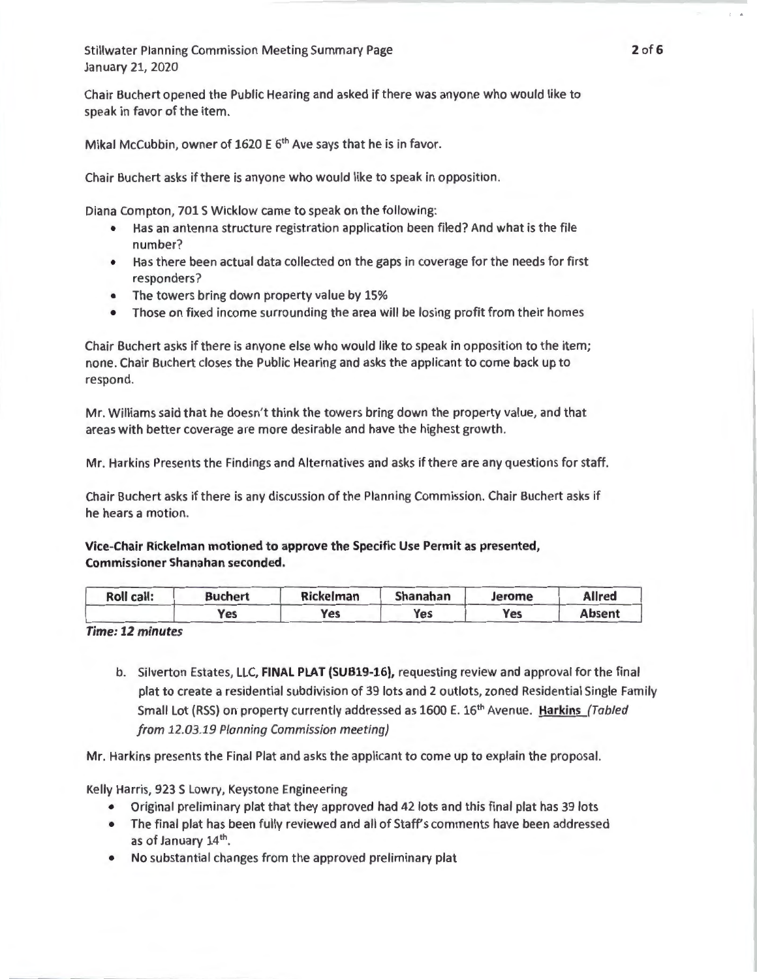Chair Buchert opened the Public Hearing and asked if there was anyone who would like to speak in favor of the item.

Mikal McCubbin, owner of 1620 E 6<sup>th</sup> Ave says that he is in favor.

Chair Buchert asks if there is anyone who would like to speak in opposition.

Diana Compton, 701 S Wicklow came to speak on the following:

- Has an antenna structure registration application been filed? And what is the file number?
- Has there been actual data collected on the gaps in coverage for the needs for first responders?
- The towers bring down property value by 15%
- Those on fixed income surrounding the area will be losing profit from their homes

Chair Buchert asks if there is anyone else who would like to speak in opposition to the item; none. Chair Buchert closes the Public Hearing and asks the applicant to come back up to respond.

Mr. Williams said that he doesn't think the towers bring down the property value, and that areas with better coverage are more desirable and have the highest growth.

Mr. Harkins Presents the Findings and Alternatives and asks if there are any questions for staff.

Chair Buchert asks if there is any discussion of the Planning Commission. Chair Buchert asks if he hears a motion.

Vice-Chair Rickelman motioned to approve the Specific Use Permit as presented, Commissioner Shanahan seconded.

| Roll call: | <b>Buchert</b> | <b>Rickelman</b> | <b>Shanahan</b> | Jerome | <b>Allred</b> |
|------------|----------------|------------------|-----------------|--------|---------------|
|            | Yes            | Yes              | Yes             | Yes    | <b>Absent</b> |

*Time: 12 minutes* 

b. Silverton Estates, LLC, FINAL PLAT (SUB19-16), requesting review and approval for the final plat to create a residential subdivision of 39 lots and 2 outlots, zoned Residential Single Family Small Lot (RSS) on property currently addressed as 1600 E. 16<sup>th</sup> Avenue. Harkins (Tabled from 12.03.19 Planning Commission meeting)

Mr. Harkins presents the Final Plat and asks the applicant to come up to explain the proposal.

Kelly Harris, 923 S Lowry, Keystone Engineering

- Original preliminary plat that they approved had 42 lots and this final plat has 39 lots
- The final plat has been fully reviewed and all of Staff's comments have been addressed as of January 14<sup>th</sup>.
- No substantial changes from the approved preliminary plat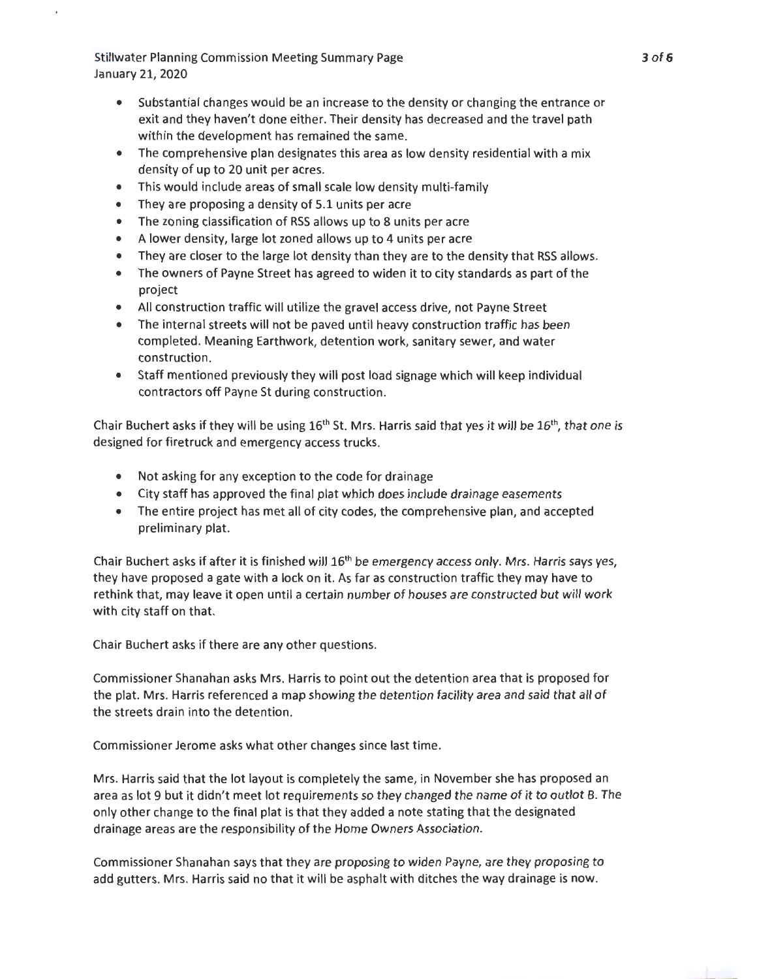- Substantial changes would be an increase to the density or changing the entrance or exit and they haven't done either. Their density has decreased and the travel path within the development has remained the same.
- The comprehensive plan designates this area as low density residential with a mix density of up to 20 unit per acres.
- This would include areas of small scale low density multi-family
- They are proposing a density of 5.1 units per acre
- The zoning classification of RSS allows up to 8 units per acre
- A lower density, large lot zoned allows up to 4 units per acre
- They are closer to the large lot density than they are to the density that RSS allows.
- The owners of Payne Street has agreed to widen it to city standards as part of the project
- All construction traffic will utilize the gravel access drive, not Payne Street
- The internal streets will not be paved until heavy construction traffic has been completed. Meaning Earthwork, detention work, sanitary sewer, and water construction.
- Staff mentioned previously they will post load signage which will keep individual contractors off Payne St during construction.

Chair Buchert asks if they will be using  $16<sup>th</sup>$  St. Mrs. Harris said that yes it will be  $16<sup>th</sup>$ , that one is designed for firetruck and emergency access trucks.

- Not asking for any exception to the code for drainage
- City staff has approved the final plat which does include drainage easements
- The entire project has met all of city codes, the comprehensive plan, and accepted preliminary plat.

Chair Buchert asks if after it is finished will  $16<sup>th</sup>$  be emergency access only. Mrs. Harris says yes, they have proposed a gate with a lock on it. As far as construction traffic they may have to rethink that, may leave it open until a certain number of houses are constructed but will work with city staff on that.

Chair Buchert asks if there are any other questions.

Commissioner Shanahan asks Mrs. Harris to point out the detention area that is proposed for the plat. Mrs. Harris referenced a map showing the detention facility area and said that all of the streets drain into the detention.

Commissioner Jerome asks what other changes since last time.

Mrs. Harris said that the lot layout is completely the same, in November she has proposed an area as lot 9 but it didn't meet lot requirements so they changed the name of it to outlot B. The only other change to the final plat is that they added a note stating that the designated drainage areas are the responsibility of the Home Owners Association .

Commissioner Shanahan says that they are proposing to widen Payne, are they proposing to add gutters. Mrs. Harris said no that it will be asphalt with ditches the way drainage is now.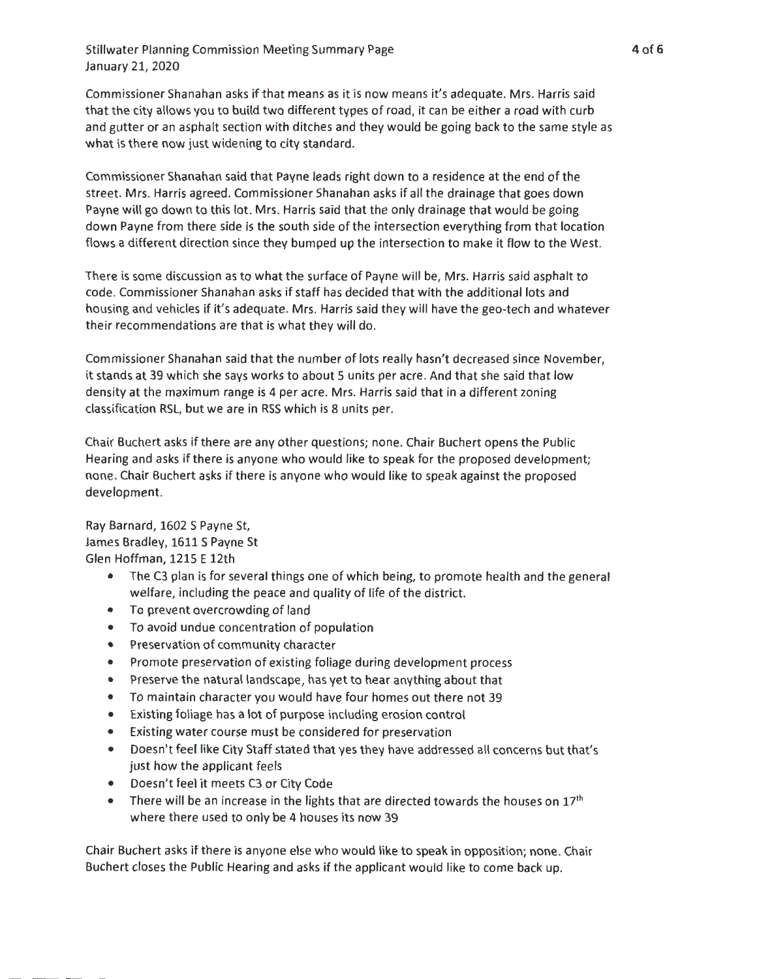Commissioner Shanahan asks if that means as it is now means it's adequate. Mrs. Harris said that the city allows you to build two different types of road, it can be either a road with curb and gutter or an asphalt section with ditches and they would be going back to the same style as what is there now just widening to city standard.

Commissioner Shanahan said that Payne leads right down to a residence at the end of the street. Mrs. Harris agreed. Commissioner Shanahan asks if all the drainage that goes down Payne will go down to this lot. Mrs. Harris said that the only drainage that would be going down Payne from there side is the south side of the intersection everything from that location flows a different direction since they bumped up the intersection to make it flow to the West.

There is some discussion as to what the surface of Payne will be, Mrs. Harris said asphalt to code. Commissioner Shanahan asks if staff has decided that with the additional lots and housing and vehicles if it's adequate. Mrs. Harris said they will have the geo-tech and whatever their recommendations are that is what they will do.

Commissioner Shanahan said that the number of lots really hasn't decreased since November, it stands at 39 which she says works to about 5 units per acre. And that she said that low density at the maximum range is 4 per acre. Mrs. Harris said that in a different zoning classification RSL, but we are in RSS which is 8 units per.

Chair Buchert asks if there are any other questions; none. Chair Buchert opens the Public Hearing and asks if there is anyone who would like to speak for the proposed development; none. Chair Buchert asks if there is anyone who would like to speak against the proposed development.

Ray Barnard, 1602 S Payne St, James Bradley, 1611 S Payne St Glen Hoffman, 1215 E 12th

- The C3 plan is for several things one of which being, to promote health and the general welfare, including the peace and quality of life of the district.
- To prevent overcrowding of land
- To avoid undue concentration of population
- Preservation of community character
- Promote preservation of existing foliage during development process
- Preserve the natural landscape, has yet to hear anything about that
- To maintain character you would have four homes out there not 39
- Existing foliage has a lot of purpose including erosion control
- Existing water course must be considered for preservation
- Doesn't feel like City Staff stated that yes they have addressed all concerns but that's just how the applicant feels
- Doesn't feel it meets C3 or City Code
- There will be an increase in the lights that are directed towards the houses on  $17<sup>th</sup>$ where there used to only be 4 houses its now 39

Chair Buchert asks if there is anyone else who would like to speak in opposition; none. Chair Buchert closes the Public Hearing and asks if the applicant would like to come back up.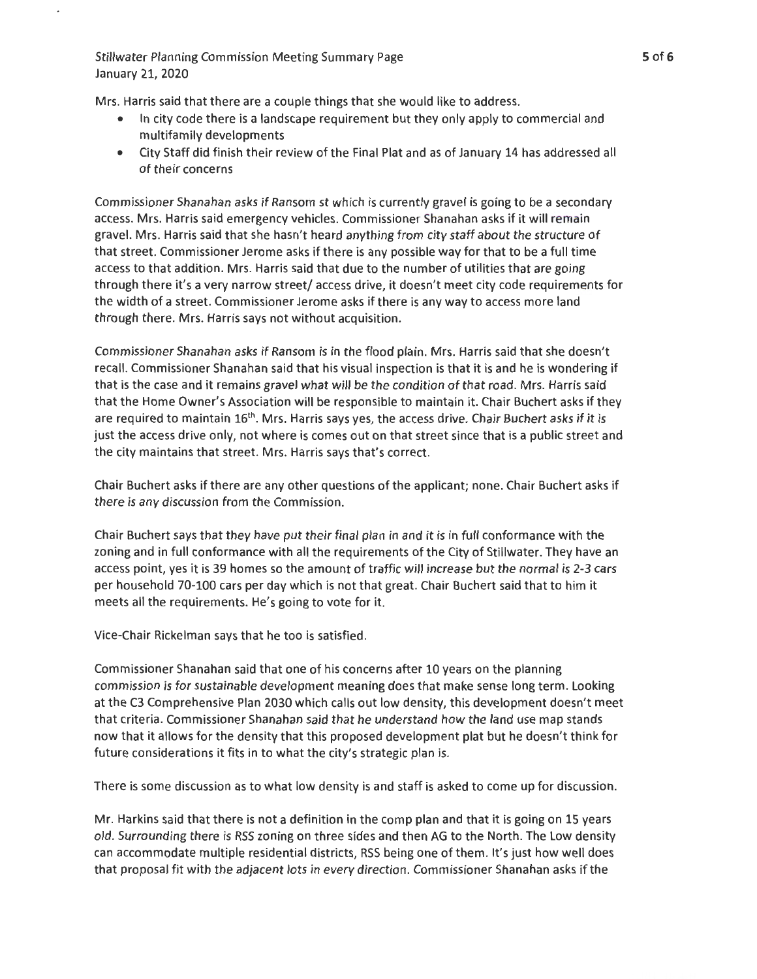Mrs. Harris said that there are a couple things that she would like to address.

- In city code there is a landscape requirement but they only apply to commercial and multifamily developments
- City Staff did finish their review of the Final Plat and as of January 14 has addressed all of their concerns

Commissioner Shanahan asks if Ransom st which is currently gravel is going to be a secondary access. Mrs. Harris said emergency vehicles. Commissioner Shanahan asks if it will remain gravel. Mrs. Harris said that she hasn't heard anything from city staff about the structure of that street. Commissioner Jerome asks if there is any possible way for that to be a full time access to that addition. Mrs. Harris said that due to the number of utilities that are going through there it's a very narrow street/ access drive, it doesn't meet city code requirements for the width of a street. Commissioner Jerome asks if there is any way to access more land through there. Mrs. Harris says not without acquisition.

Commissioner Shanahan asks if Ransom is in the flood plain. Mrs. Harris said that she doesn't recall. Commissioner Shanahan said that his visual inspection is that it is and he is wondering if that is the case and it remains gravel what will be the condition of that road. Mrs. Harris said that the Home Owner's Association will be responsible to maintain it. Chair Buchert asks if they are required to maintain 16<sup>th</sup>. Mrs. Harris says yes, the access drive. Chair Buchert asks if it is just the access drive only, not where is comes out on that street since that is a public street and the city maintains that street. Mrs. Harris says that's correct.

Chair Buchert asks if there are any other questions of the applicant; none. Chair Buchert asks if there is any discussion from the Commission.

Chair Buchert says that they have put their final plan in and it is in full conformance with the zoning and in full conformance with all the requirements of the City of Stillwater. They have an access point, yes it is 39 homes so the amount of traffic will increase but the normal is 2-3 cars per household 70-100 cars per day which is not that great. Chair Buchert said that to him it meets all the requirements. He's going to vote for it.

Vice-Chair Rickelman says that he too is satisfied.

Commissioner Shanahan said that one of his concerns after 10 years on the planning commission is for sustainable development meaning does that make sense long term . Looking at the C3 Comprehensive Plan 2030 which calls out low density, this development doesn't meet that criteria. Commissioner Shanahan said that he understand how the land use map stands now that it allows for the density that this proposed development plat but he doesn't think for future considerations it fits in to what the city's strategic plan is.

There is some discussion as to what low density is and staff is asked to come up for discussion.

Mr. Harkins said that there is not a definition in the comp plan and that it is going on 15 years old. Surrounding there is RSS zoning on three sides and then AG to the North. The Low density can accommodate multiple residential districts, RSS being one of them . It's just how well does that proposal fit with the adjacent lots in every direction. Commissioner Shanahan asks if the